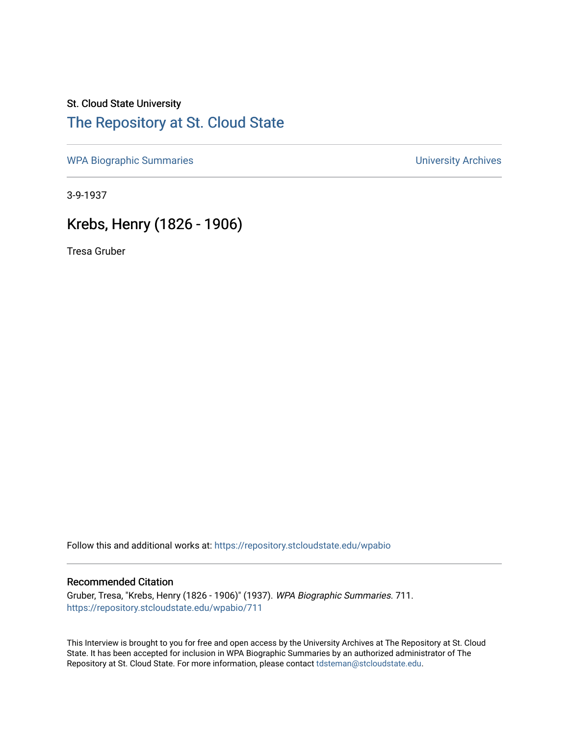## St. Cloud State University [The Repository at St. Cloud State](https://repository.stcloudstate.edu/)

[WPA Biographic Summaries](https://repository.stcloudstate.edu/wpabio) **WPA Biographic Summaries University Archives** 

3-9-1937

# Krebs, Henry (1826 - 1906)

Tresa Gruber

Follow this and additional works at: [https://repository.stcloudstate.edu/wpabio](https://repository.stcloudstate.edu/wpabio?utm_source=repository.stcloudstate.edu%2Fwpabio%2F711&utm_medium=PDF&utm_campaign=PDFCoverPages) 

#### Recommended Citation

Gruber, Tresa, "Krebs, Henry (1826 - 1906)" (1937). WPA Biographic Summaries. 711. [https://repository.stcloudstate.edu/wpabio/711](https://repository.stcloudstate.edu/wpabio/711?utm_source=repository.stcloudstate.edu%2Fwpabio%2F711&utm_medium=PDF&utm_campaign=PDFCoverPages) 

This Interview is brought to you for free and open access by the University Archives at The Repository at St. Cloud State. It has been accepted for inclusion in WPA Biographic Summaries by an authorized administrator of The Repository at St. Cloud State. For more information, please contact [tdsteman@stcloudstate.edu.](mailto:tdsteman@stcloudstate.edu)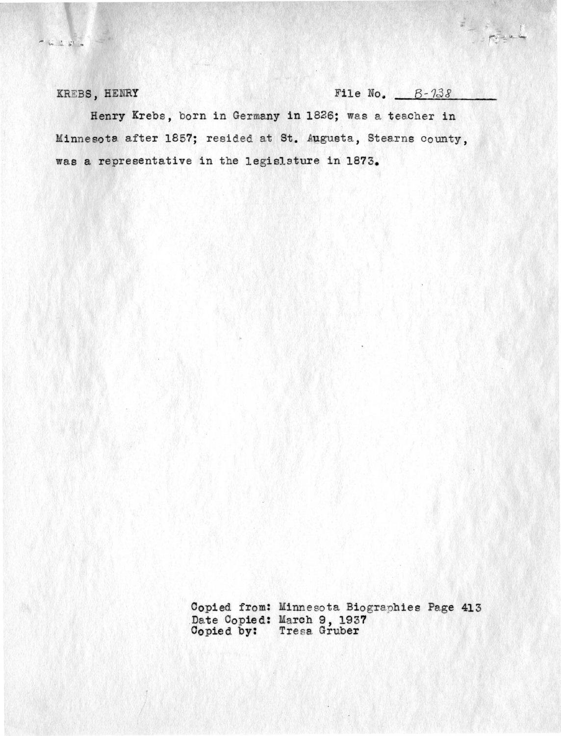$-620$ 

KREBS, HENRY File No.  $B-733$ 

 $= - \frac{1}{2}$ 

Henry Krebs, born in Germany in 1826; was a teacher in Minnesota after 1857; resided at St. Augusta, Stearns county, was a representative in the legislature in 1873.

> Copied from: Minnesota Biographies Page 413 .Date Copied: Copied by: arch 9, 1937 Tresa Gruber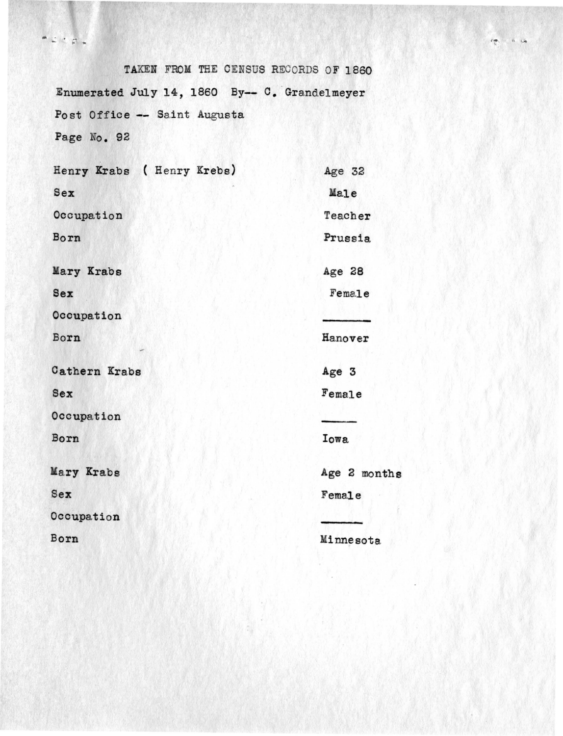$\begin{array}{c} \bullet \hspace{0.2cm} \bot \hspace{0.2cm} \bot \hspace{0.2cm} \bot \hspace{0.2cm} \top \hspace{0.2cm} \bot \hspace{0.2cm} \bot \hspace{0.2cm} \bot \hspace{0.2cm} \bot \hspace{0.2cm} \bot \hspace{0.2cm} \bot \hspace{0.2cm} \bot \hspace{0.2cm} \bot \hspace{0.2cm} \bot \hspace{0.2cm} \bot \hspace{0.2cm} \bot \hspace{0.2cm} \bot \hspace{0.2cm} \bot \hspace{0.2cm} \bot \hspace{0.2cm} \bot \hs$ 

TAKEN FROM THE CENSUS RECORDS OF 1860 Enumerated July 14, 1860 By-- C. Grandelmeyer Post Office -- Saint Augusta Page No. 92

| Henry Krabs ( Henry Krebs) | Age 32       |
|----------------------------|--------------|
| Sex                        | Male         |
| Occupation                 | Teacher      |
| Born                       | Prussia      |
| Mary Krabs                 | Age 28       |
| Sex                        | Female       |
| Occupation                 |              |
| Born                       | Hanover      |
| Cathern Krabs              | Age 3        |
| Sex                        | Female       |
| Occupation                 |              |
| Born                       | Iowa         |
| Mary Krabs                 | Age 2 months |
| Sex                        | Female       |
| Occupation                 |              |
| Born                       | Minnesota    |